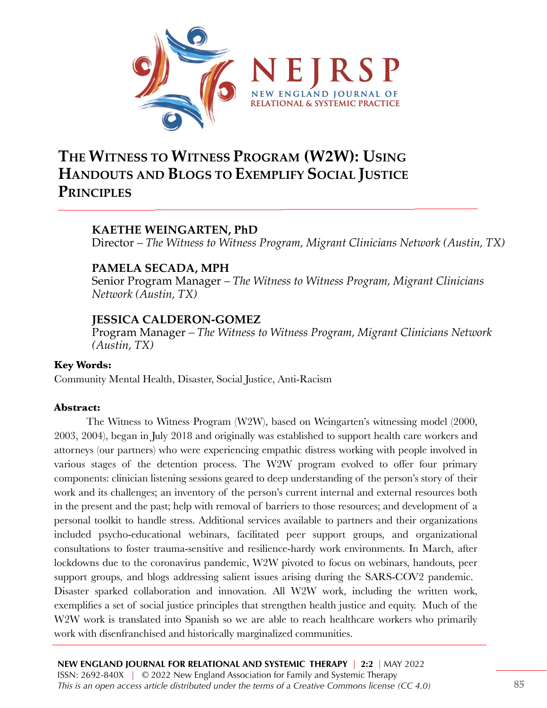

# **THE WITNESS TO WITNESS PROGRAM (W2W): USING HANDOUTS AND BLOGS TO EXEMPLIFY SOCIAL JUSTICE PRINCIPLES**

## **KAETHE WEINGARTEN, PhD**

Director *– The Witness to Witness Program, Migrant Clinicians Network (Austin, TX)*

### **PAMELA SECADA, MPH**

Senior Program Manager *– The Witness to Witness Program, Migrant Clinicians Network (Austin, TX)*

### **JESSICA CALDERON-GOMEZ**

Program Manager *– The Witness to Witness Program, Migrant Clinicians Network (Austin, TX)*

#### **Key Words:**

Community Mental Health, Disaster, Social Justice, Anti-Racism

#### **Abstract:**

The Witness to Witness Program (W2W), based on Weingarten's witnessing model (2000, 2003, 2004), began in July 2018 and originally was established to support health care workers and attorneys (our partners) who were experiencing empathic distress working with people involved in various stages of the detention process. The W2W program evolved to offer four primary components: clinician listening sessions geared to deep understanding of the person's story of their work and its challenges; an inventory of the person's current internal and external resources both in the present and the past; help with removal of barriers to those resources; and development of a personal toolkit to handle stress. Additional services available to partners and their organizations included psycho-educational webinars, facilitated peer support groups, and organizational consultations to foster trauma-sensitive and resilience-hardy work environments. In March, after lockdowns due to the coronavirus pandemic, W2W pivoted to focus on webinars, handouts, peer support groups, and blogs addressing salient issues arising during the SARS-COV2 pandemic. Disaster sparked collaboration and innovation. All W2W work, including the written work, exemplifies a set of social justice principles that strengthen health justice and equity. Much of the W<sub>2</sub>W work is translated into Spanish so we are able to reach healthcare workers who primarily work with disenfranchised and historically marginalized communities.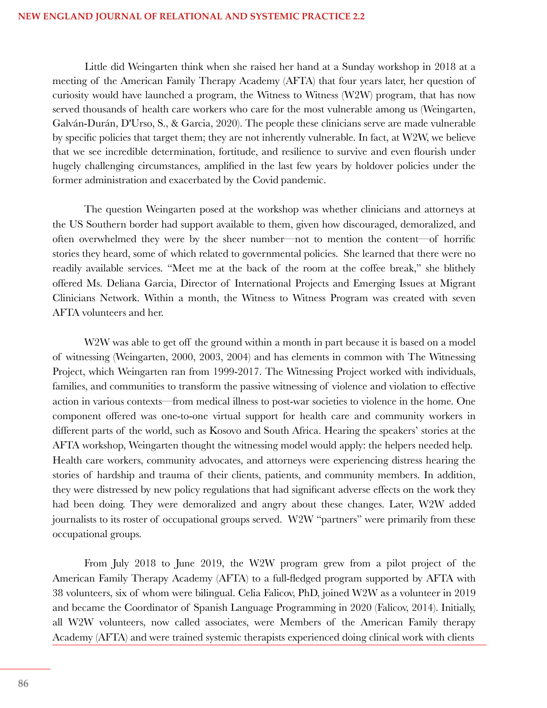#### **NEW ENGLAND JOURNAL OF RELATIONAL AND SYSTEMIC PRACTICE 2.2**

Little did Weingarten think when she raised her hand at a Sunday workshop in 2018 at a meeting of the American Family Therapy Academy (AFTA) that four years later, her question of curiosity would have launched a program, the Witness to Witness (W2W) program, that has now served thousands of health care workers who care for the most vulnerable among us (Weingarten, Galván-Durán, D'Urso, S., & Garcia, 2020). The people these clinicians serve are made vulnerable by specific policies that target them; they are not inherently vulnerable. In fact, at W2W, we believe that we see incredible determination, fortitude, and resilience to survive and even flourish under hugely challenging circumstances, amplified in the last few years by holdover policies under the former administration and exacerbated by the Covid pandemic.

The question Weingarten posed at the workshop was whether clinicians and attorneys at the US Southern border had support available to them, given how discouraged, demoralized, and often overwhelmed they were by the sheer number—not to mention the content—of horrific stories they heard, some of which related to governmental policies. She learned that there were no readily available services. "Meet me at the back of the room at the coffee break," she blithely offered Ms. Deliana Garcia, Director of International Projects and Emerging Issues at Migrant Clinicians Network. Within a month, the Witness to Witness Program was created with seven AFTA volunteers and her.

W<sub>2</sub>W was able to get off the ground within a month in part because it is based on a model of witnessing (Weingarten, 2000, 2003, 2004) and has elements in common with The Witnessing Project, which Weingarten ran from 1999-2017. The Witnessing Project worked with individuals, families, and communities to transform the passive witnessing of violence and violation to effective action in various contexts—from medical illness to post-war societies to violence in the home. One component offered was one-to-one virtual support for health care and community workers in different parts of the world, such as Kosovo and South Africa. Hearing the speakers' stories at the AFTA workshop, Weingarten thought the witnessing model would apply: the helpers needed help. Health care workers, community advocates, and attorneys were experiencing distress hearing the stories of hardship and trauma of their clients, patients, and community members. In addition, they were distressed by new policy regulations that had significant adverse effects on the work they had been doing. They were demoralized and angry about these changes. Later, W2W added journalists to its roster of occupational groups served. W2W "partners" were primarily from these occupational groups.

From July 2018 to June 2019, the W2W program grew from a pilot project of the American Family Therapy Academy (AFTA) to a full-fledged program supported by AFTA with 38 volunteers, six of whom were bilingual. Celia Falicov, PhD, joined W2W as a volunteer in 2019 and became the Coordinator of Spanish Language Programming in 2020 (Falicov, 2014). Initially, all W2W volunteers, now called associates, were Members of the American Family therapy Academy (AFTA) and were trained systemic therapists experienced doing clinical work with clients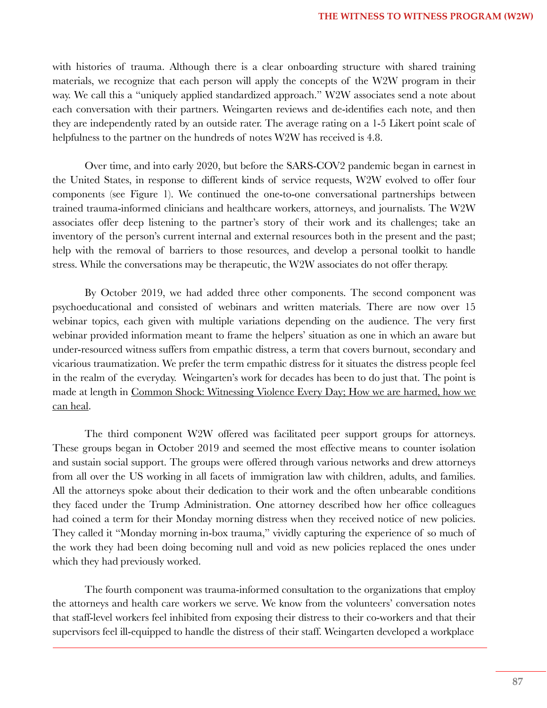with histories of trauma. Although there is a clear onboarding structure with shared training materials, we recognize that each person will apply the concepts of the W2W program in their way. We call this a "uniquely applied standardized approach." W2W associates send a note about each conversation with their partners. Weingarten reviews and de-identifies each note, and then they are independently rated by an outside rater. The average rating on a 1-5 Likert point scale of helpfulness to the partner on the hundreds of notes W2W has received is 4.8.

Over time, and into early 2020, but before the SARS-COV2 pandemic began in earnest in the United States, in response to different kinds of service requests, W2W evolved to offer four components (see Figure 1). We continued the one-to-one conversational partnerships between trained trauma-informed clinicians and healthcare workers, attorneys, and journalists. The W2W associates offer deep listening to the partner's story of their work and its challenges; take an inventory of the person's current internal and external resources both in the present and the past; help with the removal of barriers to those resources, and develop a personal toolkit to handle stress. While the conversations may be therapeutic, the W2W associates do not offer therapy.

By October 2019, we had added three other components. The second component was psychoeducational and consisted of webinars and written materials. There are now over 15 webinar topics, each given with multiple variations depending on the audience. The very first webinar provided information meant to frame the helpers' situation as one in which an aware but under-resourced witness suffers from empathic distress, a term that covers burnout, secondary and vicarious traumatization. We prefer the term empathic distress for it situates the distress people feel in the realm of the everyday. Weingarten's work for decades has been to do just that. The point is made at length in Common Shock: Witnessing Violence Every Day; How we are harmed, how we can heal.

The third component W2W offered was facilitated peer support groups for attorneys. These groups began in October 2019 and seemed the most effective means to counter isolation and sustain social support. The groups were offered through various networks and drew attorneys from all over the US working in all facets of immigration law with children, adults, and families. All the attorneys spoke about their dedication to their work and the often unbearable conditions they faced under the Trump Administration. One attorney described how her office colleagues had coined a term for their Monday morning distress when they received notice of new policies. They called it "Monday morning in-box trauma," vividly capturing the experience of so much of the work they had been doing becoming null and void as new policies replaced the ones under which they had previously worked.

The fourth component was trauma-informed consultation to the organizations that employ the attorneys and health care workers we serve. We know from the volunteers' conversation notes that staff-level workers feel inhibited from exposing their distress to their co-workers and that their supervisors feel ill-equipped to handle the distress of their staff. Weingarten developed a workplace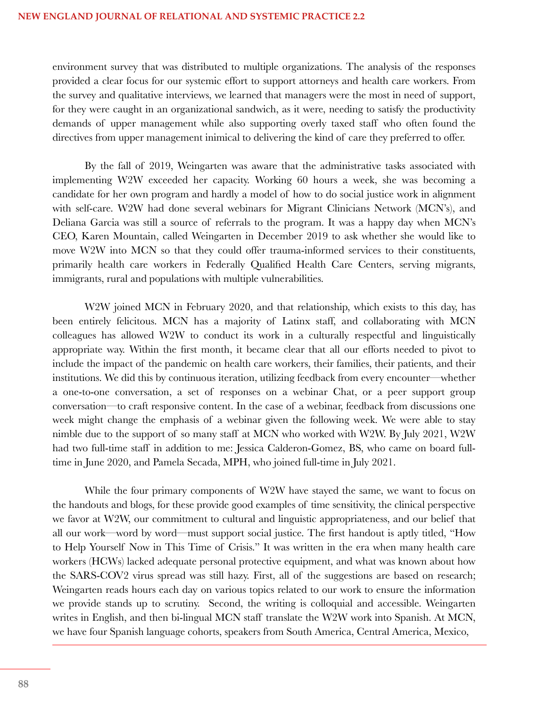environment survey that was distributed to multiple organizations. The analysis of the responses provided a clear focus for our systemic effort to support attorneys and health care workers. From the survey and qualitative interviews, we learned that managers were the most in need of support, for they were caught in an organizational sandwich, as it were, needing to satisfy the productivity demands of upper management while also supporting overly taxed staff who often found the directives from upper management inimical to delivering the kind of care they preferred to offer.

By the fall of 2019, Weingarten was aware that the administrative tasks associated with implementing W2W exceeded her capacity. Working 60 hours a week, she was becoming a candidate for her own program and hardly a model of how to do social justice work in alignment with self-care. W2W had done several webinars for Migrant Clinicians Network (MCN's), and Deliana Garcia was still a source of referrals to the program. It was a happy day when MCN's CEO, Karen Mountain, called Weingarten in December 2019 to ask whether she would like to move W2W into MCN so that they could offer trauma-informed services to their constituents, primarily health care workers in Federally Qualified Health Care Centers, serving migrants, immigrants, rural and populations with multiple vulnerabilities.

W2W joined MCN in February 2020, and that relationship, which exists to this day, has been entirely felicitous. MCN has a majority of Latinx staff, and collaborating with MCN colleagues has allowed W2W to conduct its work in a culturally respectful and linguistically appropriate way. Within the first month, it became clear that all our efforts needed to pivot to include the impact of the pandemic on health care workers, their families, their patients, and their institutions. We did this by continuous iteration, utilizing feedback from every encounter—whether a one-to-one conversation, a set of responses on a webinar Chat, or a peer support group conversation—to craft responsive content. In the case of a webinar, feedback from discussions one week might change the emphasis of a webinar given the following week. We were able to stay nimble due to the support of so many staff at MCN who worked with W2W. By July 2021, W2W had two full-time staff in addition to me: Jessica Calderon-Gomez, BS, who came on board fulltime in June 2020, and Pamela Secada, MPH, who joined full-time in July 2021.

While the four primary components of W2W have stayed the same, we want to focus on the handouts and blogs, for these provide good examples of time sensitivity, the clinical perspective we favor at W2W, our commitment to cultural and linguistic appropriateness, and our belief that all our work—word by word—must support social justice. The first handout is aptly titled, "How to Help Yourself Now in This Time of Crisis." It was written in the era when many health care workers (HCWs) lacked adequate personal protective equipment, and what was known about how the SARS-COV2 virus spread was still hazy. First, all of the suggestions are based on research; Weingarten reads hours each day on various topics related to our work to ensure the information we provide stands up to scrutiny. Second, the writing is colloquial and accessible. Weingarten writes in English, and then bi-lingual MCN staff translate the W2W work into Spanish. At MCN, we have four Spanish language cohorts, speakers from South America, Central America, Mexico,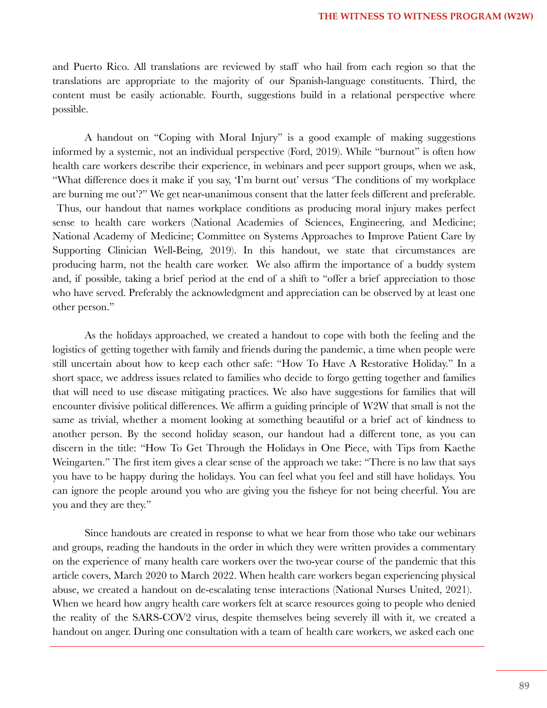and Puerto Rico. All translations are reviewed by staff who hail from each region so that the translations are appropriate to the majority of our Spanish-language constituents. Third, the content must be easily actionable. Fourth, suggestions build in a relational perspective where possible.

A handout on "Coping with Moral Injury" is a good example of making suggestions informed by a systemic, not an individual perspective (Ford, 2019). While "burnout" is often how health care workers describe their experience, in webinars and peer support groups, when we ask, "What difference does it make if you say, 'I'm burnt out' versus 'The conditions of my workplace are burning me out'?" We get near-unanimous consent that the latter feels different and preferable. Thus, our handout that names workplace conditions as producing moral injury makes perfect sense to health care workers (National Academies of Sciences, Engineering, and Medicine; National Academy of Medicine; Committee on Systems Approaches to Improve Patient Care by Supporting Clinician Well-Being, 2019). In this handout, we state that circumstances are producing harm, not the health care worker. We also affirm the importance of a buddy system and, if possible, taking a brief period at the end of a shift to "offer a brief appreciation to those who have served. Preferably the acknowledgment and appreciation can be observed by at least one other person."

As the holidays approached, we created a handout to cope with both the feeling and the logistics of getting together with family and friends during the pandemic, a time when people were still uncertain about how to keep each other safe: "How To Have A Restorative Holiday." In a short space, we address issues related to families who decide to forgo getting together and families that will need to use disease mitigating practices. We also have suggestions for families that will encounter divisive political differences. We affirm a guiding principle of W2W that small is not the same as trivial, whether a moment looking at something beautiful or a brief act of kindness to another person. By the second holiday season, our handout had a different tone, as you can discern in the title: "How To Get Through the Holidays in One Piece, with Tips from Kaethe Weingarten." The first item gives a clear sense of the approach we take: "There is no law that says you have to be happy during the holidays. You can feel what you feel and still have holidays. You can ignore the people around you who are giving you the fisheye for not being cheerful. You are you and they are they."

Since handouts are created in response to what we hear from those who take our webinars and groups, reading the handouts in the order in which they were written provides a commentary on the experience of many health care workers over the two-year course of the pandemic that this article covers, March 2020 to March 2022. When health care workers began experiencing physical abuse, we created a handout on de-escalating tense interactions (National Nurses United, 2021). When we heard how angry health care workers felt at scarce resources going to people who denied the reality of the SARS-COV2 virus, despite themselves being severely ill with it, we created a handout on anger. During one consultation with a team of health care workers, we asked each one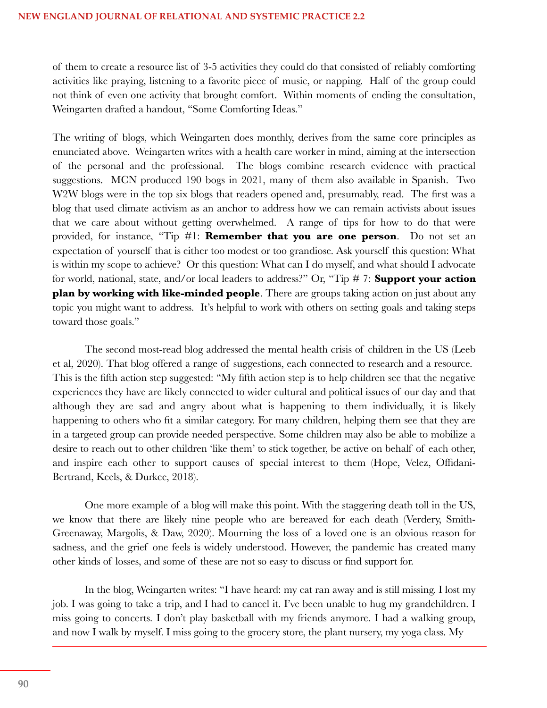of them to create a resource list of 3-5 activities they could do that consisted of reliably comforting activities like praying, listening to a favorite piece of music, or napping. Half of the group could not think of even one activity that brought comfort. Within moments of ending the consultation, Weingarten drafted a handout, "Some Comforting Ideas."

The writing of blogs, which Weingarten does monthly, derives from the same core principles as enunciated above. Weingarten writes with a health care worker in mind, aiming at the intersection of the personal and the professional. The blogs combine research evidence with practical suggestions. MCN produced 190 bogs in 2021, many of them also available in Spanish. Two W2W blogs were in the top six blogs that readers opened and, presumably, read. The first was a blog that used climate activism as an anchor to address how we can remain activists about issues that we care about without getting overwhelmed. A range of tips for how to do that were provided, for instance, "Tip #1: **Remember that you are one person**. Do not set an expectation of yourself that is either too modest or too grandiose. Ask yourself this question: What is within my scope to achieve? Or this question: What can I do myself, and what should I advocate for world, national, state, and/or local leaders to address?" Or, "Tip # 7: **Support your action plan by working with like-minded people**. There are groups taking action on just about any topic you might want to address. It's helpful to work with others on setting goals and taking steps toward those goals."

The second most-read blog addressed the mental health crisis of children in the US (Leeb et al, 2020). That blog offered a range of suggestions, each connected to research and a resource. This is the fifth action step suggested: "My fifth action step is to help children see that the negative experiences they have are likely connected to wider cultural and political issues of our day and that although they are sad and angry about what is happening to them individually, it is likely happening to others who fit a similar category. For many children, helping them see that they are in a targeted group can provide needed perspective. Some children may also be able to mobilize a desire to reach out to other children 'like them' to stick together, be active on behalf of each other, and inspire each other to support causes of special interest to them (Hope, Velez, Offidani-Bertrand, Keels, & Durkee, 2018).

One more example of a blog will make this point. With the staggering death toll in the US, we know that there are likely nine people who are bereaved for each death (Verdery, Smith-Greenaway, Margolis, & Daw, 2020). Mourning the loss of a loved one is an obvious reason for sadness, and the grief one feels is widely understood. However, the pandemic has created many other kinds of losses, and some of these are not so easy to discuss or find support for.

In the blog, Weingarten writes: "I have heard: my cat ran away and is still missing. I lost my job. I was going to take a trip, and I had to cancel it. I've been unable to hug my grandchildren. I miss going to concerts. I don't play basketball with my friends anymore. I had a walking group, and now I walk by myself. I miss going to the grocery store, the plant nursery, my yoga class. My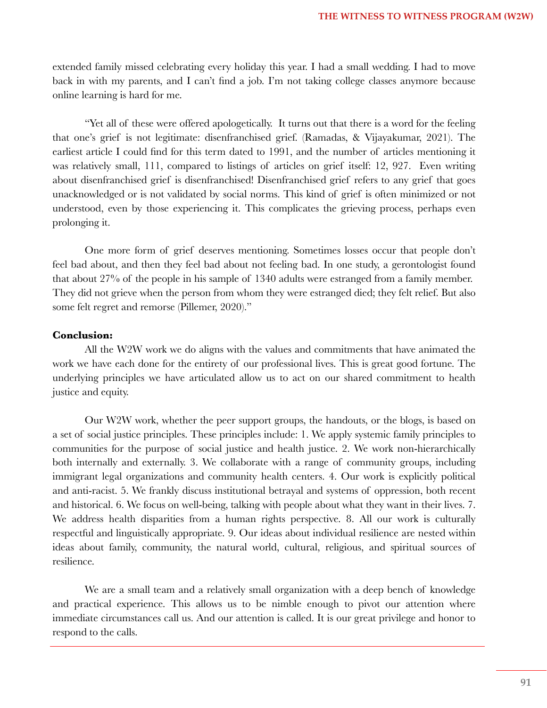extended family missed celebrating every holiday this year. I had a small wedding. I had to move back in with my parents, and I can't find a job. I'm not taking college classes anymore because online learning is hard for me.

"Yet all of these were offered apologetically. It turns out that there is a word for the feeling that one's grief is not legitimate: disenfranchised grief. (Ramadas, & Vijayakumar, 2021). The earliest article I could find for this term dated to 1991, and the number of articles mentioning it was relatively small, 111, compared to listings of articles on grief itself: 12, 927. Even writing about disenfranchised grief is disenfranchised! Disenfranchised grief refers to any grief that goes unacknowledged or is not validated by social norms. This kind of grief is often minimized or not understood, even by those experiencing it. This complicates the grieving process, perhaps even prolonging it.

One more form of grief deserves mentioning. Sometimes losses occur that people don't feel bad about, and then they feel bad about not feeling bad. In one study, a gerontologist found that about 27% of the people in his sample of 1340 adults were estranged from a family member. They did not grieve when the person from whom they were estranged died; they felt relief. But also some felt regret and remorse (Pillemer, 2020)."

#### **Conclusion:**

All the W2W work we do aligns with the values and commitments that have animated the work we have each done for the entirety of our professional lives. This is great good fortune. The underlying principles we have articulated allow us to act on our shared commitment to health justice and equity.

Our W2W work, whether the peer support groups, the handouts, or the blogs, is based on a set of social justice principles. These principles include: 1. We apply systemic family principles to communities for the purpose of social justice and health justice. 2. We work non-hierarchically both internally and externally. 3. We collaborate with a range of community groups, including immigrant legal organizations and community health centers. 4. Our work is explicitly political and anti-racist. 5. We frankly discuss institutional betrayal and systems of oppression, both recent and historical. 6. We focus on well-being, talking with people about what they want in their lives. 7. We address health disparities from a human rights perspective. 8. All our work is culturally respectful and linguistically appropriate. 9. Our ideas about individual resilience are nested within ideas about family, community, the natural world, cultural, religious, and spiritual sources of resilience.

We are a small team and a relatively small organization with a deep bench of knowledge and practical experience. This allows us to be nimble enough to pivot our attention where immediate circumstances call us. And our attention is called. It is our great privilege and honor to respond to the calls.